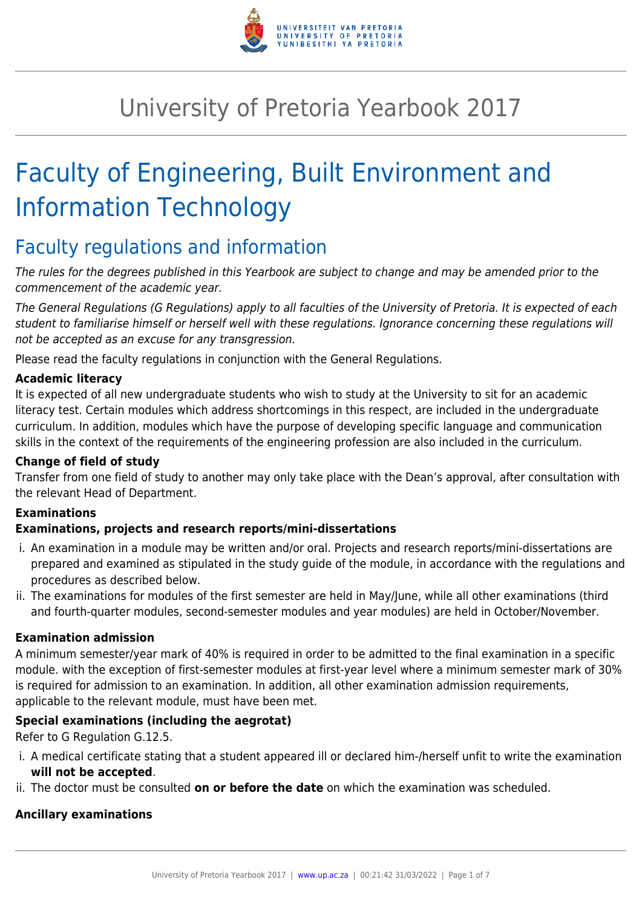

# University of Pretoria Yearbook 2017

# Faculty of Engineering, Built Environment and Information Technology

# Faculty regulations and information

The rules for the degrees published in this Yearbook are subject to change and may be amended prior to the commencement of the academic year.

The General Regulations (G Regulations) apply to all faculties of the University of Pretoria. It is expected of each student to familiarise himself or herself well with these regulations. Ignorance concerning these regulations will not be accepted as an excuse for any transgression.

Please read the faculty regulations in conjunction with the General Regulations.

#### **Academic literacy**

It is expected of all new undergraduate students who wish to study at the University to sit for an academic literacy test. Certain modules which address shortcomings in this respect, are included in the undergraduate curriculum. In addition, modules which have the purpose of developing specific language and communication skills in the context of the requirements of the engineering profession are also included in the curriculum.

#### **Change of field of study**

Transfer from one field of study to another may only take place with the Dean's approval, after consultation with the relevant Head of Department.

# **Examinations**

#### **Examinations, projects and research reports/mini-dissertations**

- i. An examination in a module may be written and/or oral. Projects and research reports/mini-dissertations are prepared and examined as stipulated in the study guide of the module, in accordance with the regulations and procedures as described below.
- ii. The examinations for modules of the first semester are held in May/June, while all other examinations (third and fourth-quarter modules, second-semester modules and year modules) are held in October/November.

#### **Examination admission**

A minimum semester/year mark of 40% is required in order to be admitted to the final examination in a specific module. with the exception of first-semester modules at first-year level where a minimum semester mark of 30% is required for admission to an examination. In addition, all other examination admission requirements, applicable to the relevant module, must have been met.

#### **Special examinations (including the aegrotat)**

Refer to G Regulation G.12.5.

- i. A medical certificate stating that a student appeared ill or declared him-/herself unfit to write the examination **will not be accepted**.
- ii. The doctor must be consulted **on or before the date** on which the examination was scheduled.

#### **Ancillary examinations**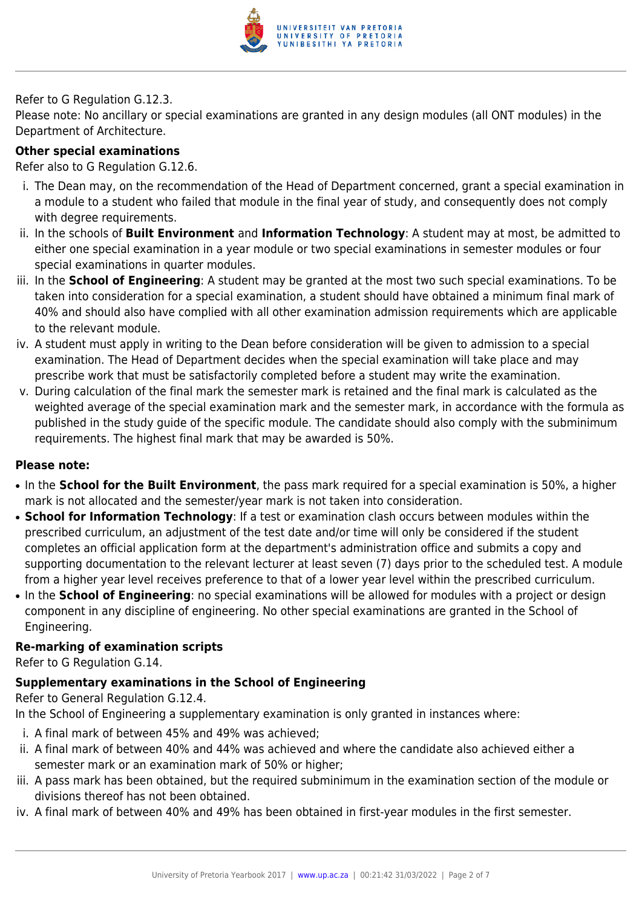

#### Refer to G Regulation G.12.3.

Please note: No ancillary or special examinations are granted in any design modules (all ONT modules) in the Department of Architecture.

#### **Other special examinations**

Refer also to G Regulation G.12.6.

- i. The Dean may, on the recommendation of the Head of Department concerned, grant a special examination in a module to a student who failed that module in the final year of study, and consequently does not comply with degree requirements.
- ii. In the schools of **Built Environment** and **Information Technology**: A student may at most, be admitted to either one special examination in a year module or two special examinations in semester modules or four special examinations in quarter modules.
- iii. In the **School of Engineering**: A student may be granted at the most two such special examinations. To be taken into consideration for a special examination, a student should have obtained a minimum final mark of 40% and should also have complied with all other examination admission requirements which are applicable to the relevant module.
- iv. A student must apply in writing to the Dean before consideration will be given to admission to a special examination. The Head of Department decides when the special examination will take place and may prescribe work that must be satisfactorily completed before a student may write the examination.
- v. During calculation of the final mark the semester mark is retained and the final mark is calculated as the weighted average of the special examination mark and the semester mark, in accordance with the formula as published in the study guide of the specific module. The candidate should also comply with the subminimum requirements. The highest final mark that may be awarded is 50%.

#### **Please note:**

- In the **School for the Built Environment**, the pass mark required for a special examination is 50%, a higher mark is not allocated and the semester/year mark is not taken into consideration.
- **School for Information Technology**: If a test or examination clash occurs between modules within the prescribed curriculum, an adjustment of the test date and/or time will only be considered if the student completes an official application form at the department's administration office and submits a copy and supporting documentation to the relevant lecturer at least seven (7) days prior to the scheduled test. A module from a higher year level receives preference to that of a lower year level within the prescribed curriculum.
- In the **School of Engineering**: no special examinations will be allowed for modules with a project or design component in any discipline of engineering. No other special examinations are granted in the School of Engineering.

#### **Re-marking of examination scripts**

Refer to G Regulation G.14.

# **Supplementary examinations in the School of Engineering**

Refer to General Regulation G.12.4.

In the School of Engineering a supplementary examination is only granted in instances where:

- i. A final mark of between 45% and 49% was achieved;
- ii. A final mark of between 40% and 44% was achieved and where the candidate also achieved either a semester mark or an examination mark of 50% or higher;
- iii. A pass mark has been obtained, but the required subminimum in the examination section of the module or divisions thereof has not been obtained.
- iv. A final mark of between 40% and 49% has been obtained in first-year modules in the first semester.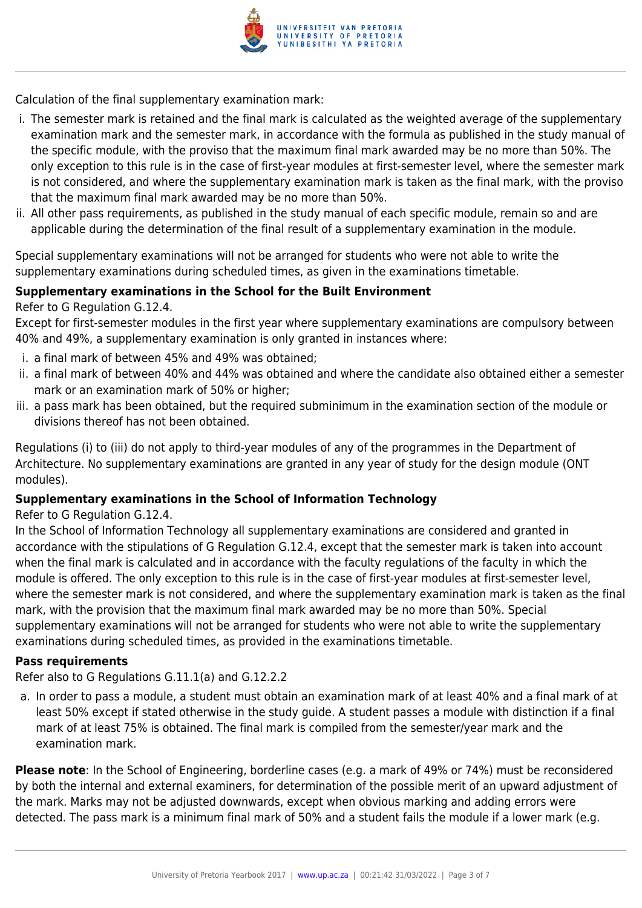

Calculation of the final supplementary examination mark:

- i. The semester mark is retained and the final mark is calculated as the weighted average of the supplementary examination mark and the semester mark, in accordance with the formula as published in the study manual of the specific module, with the proviso that the maximum final mark awarded may be no more than 50%. The only exception to this rule is in the case of first-year modules at first-semester level, where the semester mark is not considered, and where the supplementary examination mark is taken as the final mark, with the proviso that the maximum final mark awarded may be no more than 50%.
- ii. All other pass requirements, as published in the study manual of each specific module, remain so and are applicable during the determination of the final result of a supplementary examination in the module.

Special supplementary examinations will not be arranged for students who were not able to write the supplementary examinations during scheduled times, as given in the examinations timetable.

#### **Supplementary examinations in the School for the Built Environment**

Refer to G Regulation G.12.4.

Except for first-semester modules in the first year where supplementary examinations are compulsory between 40% and 49%, a supplementary examination is only granted in instances where:

- i. a final mark of between 45% and 49% was obtained;
- ii. a final mark of between 40% and 44% was obtained and where the candidate also obtained either a semester mark or an examination mark of 50% or higher;
- iii. a pass mark has been obtained, but the required subminimum in the examination section of the module or divisions thereof has not been obtained.

Regulations (i) to (iii) do not apply to third-year modules of any of the programmes in the Department of Architecture. No supplementary examinations are granted in any year of study for the design module (ONT modules).

#### **Supplementary examinations in the School of Information Technology**

#### Refer to G Regulation G.12.4.

In the School of Information Technology all supplementary examinations are considered and granted in accordance with the stipulations of G Regulation G.12.4, except that the semester mark is taken into account when the final mark is calculated and in accordance with the faculty regulations of the faculty in which the module is offered. The only exception to this rule is in the case of first-year modules at first-semester level, where the semester mark is not considered, and where the supplementary examination mark is taken as the final mark, with the provision that the maximum final mark awarded may be no more than 50%. Special supplementary examinations will not be arranged for students who were not able to write the supplementary examinations during scheduled times, as provided in the examinations timetable.

#### **Pass requirements**

Refer also to G Regulations G.11.1(a) and G.12.2.2

a. In order to pass a module, a student must obtain an examination mark of at least 40% and a final mark of at least 50% except if stated otherwise in the study guide. A student passes a module with distinction if a final mark of at least 75% is obtained. The final mark is compiled from the semester/year mark and the examination mark.

**Please note**: In the School of Engineering, borderline cases (e.g. a mark of 49% or 74%) must be reconsidered by both the internal and external examiners, for determination of the possible merit of an upward adjustment of the mark. Marks may not be adjusted downwards, except when obvious marking and adding errors were detected. The pass mark is a minimum final mark of 50% and a student fails the module if a lower mark (e.g.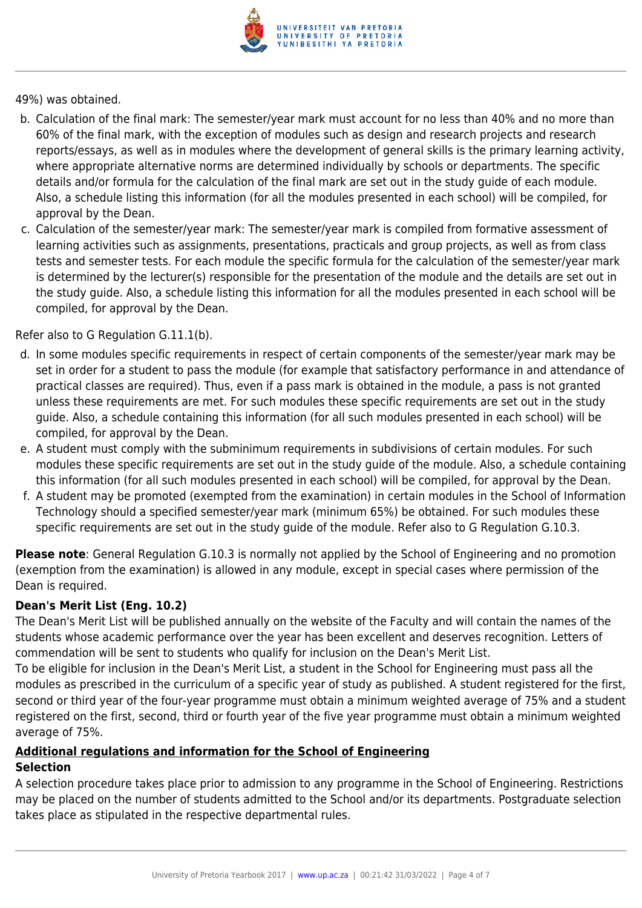

49%) was obtained.

- b. Calculation of the final mark: The semester/year mark must account for no less than 40% and no more than 60% of the final mark, with the exception of modules such as design and research projects and research reports/essays, as well as in modules where the development of general skills is the primary learning activity, where appropriate alternative norms are determined individually by schools or departments. The specific details and/or formula for the calculation of the final mark are set out in the study guide of each module. Also, a schedule listing this information (for all the modules presented in each school) will be compiled, for approval by the Dean.
- c. Calculation of the semester/year mark: The semester/year mark is compiled from formative assessment of learning activities such as assignments, presentations, practicals and group projects, as well as from class tests and semester tests. For each module the specific formula for the calculation of the semester/year mark is determined by the lecturer(s) responsible for the presentation of the module and the details are set out in the study guide. Also, a schedule listing this information for all the modules presented in each school will be compiled, for approval by the Dean.

Refer also to G Regulation G.11.1(b).

- d. In some modules specific requirements in respect of certain components of the semester/year mark may be set in order for a student to pass the module (for example that satisfactory performance in and attendance of practical classes are required). Thus, even if a pass mark is obtained in the module, a pass is not granted unless these requirements are met. For such modules these specific requirements are set out in the study guide. Also, a schedule containing this information (for all such modules presented in each school) will be compiled, for approval by the Dean.
- e. A student must comply with the subminimum requirements in subdivisions of certain modules. For such modules these specific requirements are set out in the study guide of the module. Also, a schedule containing this information (for all such modules presented in each school) will be compiled, for approval by the Dean.
- f. A student may be promoted (exempted from the examination) in certain modules in the School of Information Technology should a specified semester/year mark (minimum 65%) be obtained. For such modules these specific requirements are set out in the study guide of the module. Refer also to G Regulation G.10.3.

**Please note**: General Regulation G.10.3 is normally not applied by the School of Engineering and no promotion (exemption from the examination) is allowed in any module, except in special cases where permission of the Dean is required.

# **Dean's Merit List (Eng. 10.2)**

The Dean's Merit List will be published annually on the website of the Faculty and will contain the names of the students whose academic performance over the year has been excellent and deserves recognition. Letters of commendation will be sent to students who qualify for inclusion on the Dean's Merit List.

To be eligible for inclusion in the Dean's Merit List, a student in the School for Engineering must pass all the modules as prescribed in the curriculum of a specific year of study as published. A student registered for the first, second or third year of the four-year programme must obtain a minimum weighted average of 75% and a student registered on the first, second, third or fourth year of the five year programme must obtain a minimum weighted average of 75%.

# **Additional regulations and information for the School of Engineering**

#### **Selection**

A selection procedure takes place prior to admission to any programme in the School of Engineering. Restrictions may be placed on the number of students admitted to the School and/or its departments. Postgraduate selection takes place as stipulated in the respective departmental rules.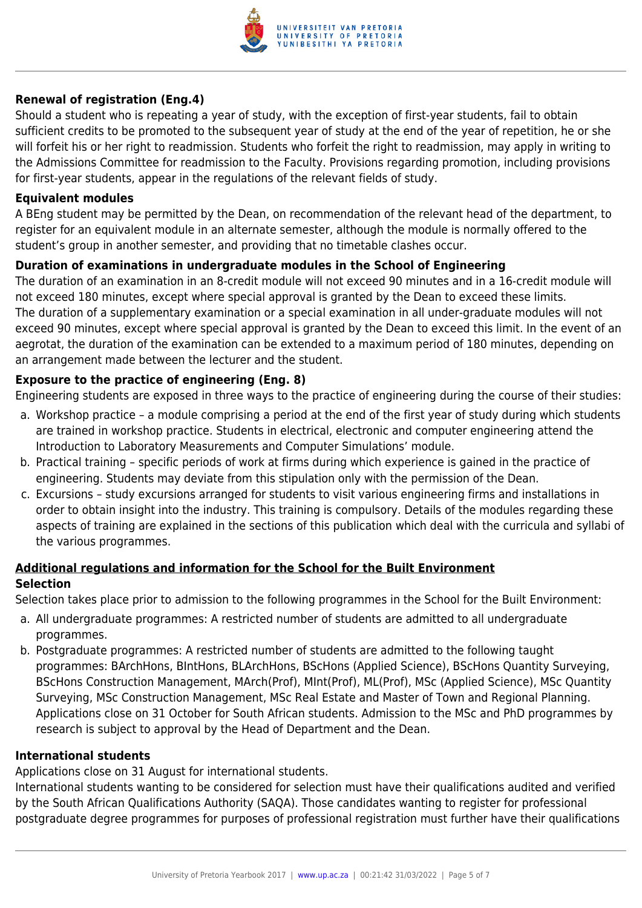

#### **Renewal of registration (Eng.4)**

Should a student who is repeating a year of study, with the exception of first-year students, fail to obtain sufficient credits to be promoted to the subsequent year of study at the end of the year of repetition, he or she will forfeit his or her right to readmission. Students who forfeit the right to readmission, may apply in writing to the Admissions Committee for readmission to the Faculty. Provisions regarding promotion, including provisions for first-year students, appear in the regulations of the relevant fields of study.

#### **Equivalent modules**

A BEng student may be permitted by the Dean, on recommendation of the relevant head of the department, to register for an equivalent module in an alternate semester, although the module is normally offered to the student's group in another semester, and providing that no timetable clashes occur.

#### **Duration of examinations in undergraduate modules in the School of Engineering**

The duration of an examination in an 8-credit module will not exceed 90 minutes and in a 16-credit module will not exceed 180 minutes, except where special approval is granted by the Dean to exceed these limits. The duration of a supplementary examination or a special examination in all under-graduate modules will not exceed 90 minutes, except where special approval is granted by the Dean to exceed this limit. In the event of an aegrotat, the duration of the examination can be extended to a maximum period of 180 minutes, depending on an arrangement made between the lecturer and the student.

#### **Exposure to the practice of engineering (Eng. 8)**

Engineering students are exposed in three ways to the practice of engineering during the course of their studies:

- a. Workshop practice a module comprising a period at the end of the first year of study during which students are trained in workshop practice. Students in electrical, electronic and computer engineering attend the Introduction to Laboratory Measurements and Computer Simulations' module.
- b. Practical training specific periods of work at firms during which experience is gained in the practice of engineering. Students may deviate from this stipulation only with the permission of the Dean.
- c. Excursions study excursions arranged for students to visit various engineering firms and installations in order to obtain insight into the industry. This training is compulsory. Details of the modules regarding these aspects of training are explained in the sections of this publication which deal with the curricula and syllabi of the various programmes.

#### **Additional regulations and information for the School for the Built Environment Selection**

Selection takes place prior to admission to the following programmes in the School for the Built Environment:

- a. All undergraduate programmes: A restricted number of students are admitted to all undergraduate programmes.
- b. Postgraduate programmes: A restricted number of students are admitted to the following taught programmes: BArchHons, BIntHons, BLArchHons, BScHons (Applied Science), BScHons Quantity Surveying, BScHons Construction Management, MArch(Prof), MInt(Prof), ML(Prof), MSc (Applied Science), MSc Quantity Surveying, MSc Construction Management, MSc Real Estate and Master of Town and Regional Planning. Applications close on 31 October for South African students. Admission to the MSc and PhD programmes by research is subject to approval by the Head of Department and the Dean.

#### **International students**

Applications close on 31 August for international students.

International students wanting to be considered for selection must have their qualifications audited and verified by the South African Qualifications Authority (SAQA). Those candidates wanting to register for professional postgraduate degree programmes for purposes of professional registration must further have their qualifications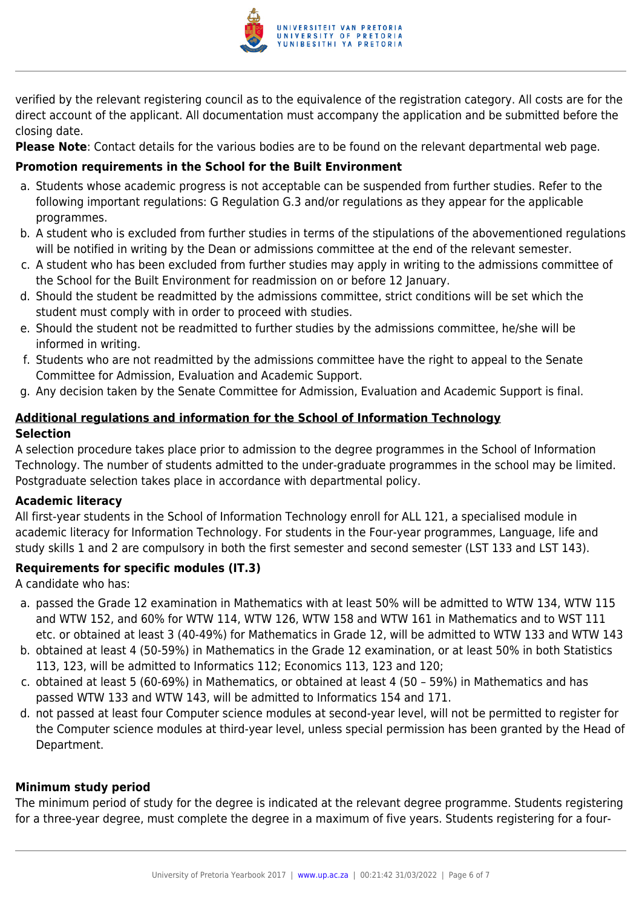

verified by the relevant registering council as to the equivalence of the registration category. All costs are for the direct account of the applicant. All documentation must accompany the application and be submitted before the closing date.

**Please Note**: Contact details for the various bodies are to be found on the relevant departmental web page.

# **Promotion requirements in the School for the Built Environment**

- a. Students whose academic progress is not acceptable can be suspended from further studies. Refer to the following important regulations: G Regulation G.3 and/or regulations as they appear for the applicable programmes.
- b. A student who is excluded from further studies in terms of the stipulations of the abovementioned regulations will be notified in writing by the Dean or admissions committee at the end of the relevant semester.
- c. A student who has been excluded from further studies may apply in writing to the admissions committee of the School for the Built Environment for readmission on or before 12 January.
- d. Should the student be readmitted by the admissions committee, strict conditions will be set which the student must comply with in order to proceed with studies.
- e. Should the student not be readmitted to further studies by the admissions committee, he/she will be informed in writing.
- f. Students who are not readmitted by the admissions committee have the right to appeal to the Senate Committee for Admission, Evaluation and Academic Support.
- g. Any decision taken by the Senate Committee for Admission, Evaluation and Academic Support is final.

# **Additional regulations and information for the School of Information Technology Selection**

A selection procedure takes place prior to admission to the degree programmes in the School of Information Technology. The number of students admitted to the under-graduate programmes in the school may be limited. Postgraduate selection takes place in accordance with departmental policy.

# **Academic literacy**

All first-year students in the School of Information Technology enroll for ALL 121, a specialised module in academic literacy for Information Technology. For students in the Four-year programmes, Language, life and study skills 1 and 2 are compulsory in both the first semester and second semester (LST 133 and LST 143).

# **Requirements for specific modules (IT.3)**

A candidate who has:

- a. passed the Grade 12 examination in Mathematics with at least 50% will be admitted to WTW 134, WTW 115 and WTW 152, and 60% for WTW 114, WTW 126, WTW 158 and WTW 161 in Mathematics and to WST 111 etc. or obtained at least 3 (40-49%) for Mathematics in Grade 12, will be admitted to WTW 133 and WTW 143
- b. obtained at least 4 (50-59%) in Mathematics in the Grade 12 examination, or at least 50% in both Statistics 113, 123, will be admitted to Informatics 112; Economics 113, 123 and 120;
- c. obtained at least 5 (60-69%) in Mathematics, or obtained at least 4 (50 59%) in Mathematics and has passed WTW 133 and WTW 143, will be admitted to Informatics 154 and 171.
- d. not passed at least four Computer science modules at second-year level, will not be permitted to register for the Computer science modules at third-year level, unless special permission has been granted by the Head of Department.

# **Minimum study period**

The minimum period of study for the degree is indicated at the relevant degree programme. Students registering for a three-year degree, must complete the degree in a maximum of five years. Students registering for a four-